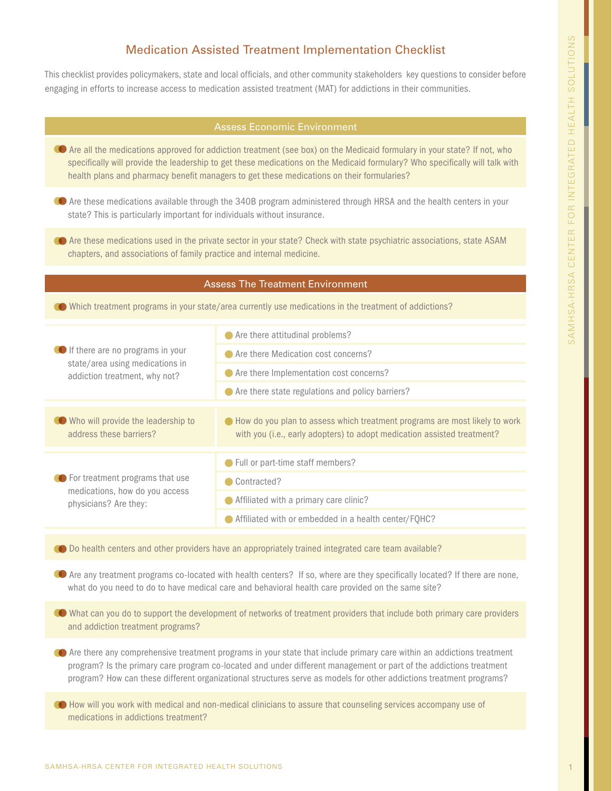# Medication Assisted Treatment Implementation Checklist

This checklist provides policymakers, state and local officials, and other community stakeholders key questions to consider before engaging in efforts to increase access to medication assisted treatment (MAT) for addictions in their communities.

- Are all the medications approved for addiction treatment (see box) on the Medicaid formulary in your state? If not, who specifically will provide the leadership to get these medications on the Medicaid formulary? Who specifically will talk with health plans and pharmacy benefit managers to get these medications on their formularies?
- Are these medications available through the 340B program administered through HRSA and the health centers in your state? This is particularly important for individuals without insurance.
- Are these medications used in the private sector in your state? Check with state psychiatric associations, state ASAM chapters, and associations of family practice and internal medicine.

#### Assess The Treatment Environment

Which treatment programs in your state/area currently use medications in the treatment of addictions?

| <b>O</b> If there are no programs in your<br>state/area using medications in<br>addiction treatment, why not? | Are there attitudinal problems?                                                                                                                         |
|---------------------------------------------------------------------------------------------------------------|---------------------------------------------------------------------------------------------------------------------------------------------------------|
|                                                                                                               | Are there Medication cost concerns?                                                                                                                     |
|                                                                                                               | ● Are there Implementation cost concerns?                                                                                                               |
|                                                                                                               | Are there state regulations and policy barriers?                                                                                                        |
|                                                                                                               |                                                                                                                                                         |
| Who will provide the leadership to<br>address these barriers?                                                 | • How do you plan to assess which treatment programs are most likely to work<br>with you (i.e., early adopters) to adopt medication assisted treatment? |
|                                                                                                               |                                                                                                                                                         |
| ♦ For treatment programs that use<br>medications, how do you access<br>physicians? Are they:                  | • Full or part-time staff members?                                                                                                                      |
|                                                                                                               | Contracted?                                                                                                                                             |
|                                                                                                               | Affiliated with a primary care clinic?                                                                                                                  |
|                                                                                                               | Affiliated with or embedded in a health center/FQHC?                                                                                                    |

O Do health centers and other providers have an appropriately trained integrated care team available?

 Are any treatment programs co-located with health centers? If so, where are they specifically located? If there are none, what do you need to do to have medical care and behavioral health care provided on the same site?

- What can you do to support the development of networks of treatment providers that include both primary care providers and addiction treatment programs?
- Are there any comprehensive treatment programs in your state that include primary care within an addictions treatment program? Is the primary care program co-located and under different management or part of the addictions treatment program? How can these different organizational structures serve as models for other addictions treatment programs?
- How will you work with medical and non-medical clinicians to assure that counseling services accompany use of medications in addictions treatment?